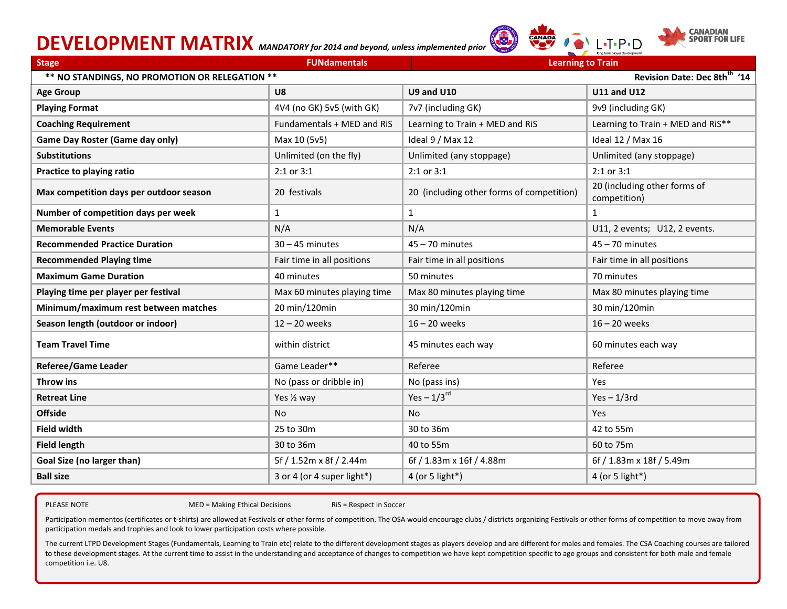# **DEVELOPMENT MATRIX** *MANDATORY for 2014 and beyond, unless implemented prior*





 $\cdot$ T $\cdot$ P $\cdot$ N

| <b>Stage</b>                                                                               | <b>FUNdamentals</b>         | <b>Learning to Train</b>                  |                                              |  |
|--------------------------------------------------------------------------------------------|-----------------------------|-------------------------------------------|----------------------------------------------|--|
| Revision Date: Dec 8th <sup>th</sup> '14<br>** NO STANDINGS, NO PROMOTION OR RELEGATION ** |                             |                                           |                                              |  |
| <b>Age Group</b>                                                                           | U8                          | <b>U9 and U10</b>                         | <b>U11 and U12</b>                           |  |
| <b>Playing Format</b>                                                                      | 4V4 (no GK) 5v5 (with GK)   | 7v7 (including GK)                        | 9v9 (including GK)                           |  |
| <b>Coaching Requirement</b>                                                                | Fundamentals + MED and RiS  | Learning to Train + MED and RiS           | Learning to Train + MED and RiS**            |  |
| Game Day Roster (Game day only)                                                            | Max 10 (5v5)                | Ideal 9 / Max 12                          | Ideal 12 / Max 16                            |  |
| <b>Substitutions</b>                                                                       | Unlimited (on the fly)      | Unlimited (any stoppage)                  | Unlimited (any stoppage)                     |  |
| Practice to playing ratio                                                                  | 2:1 or 3:1                  | 2:1 or 3:1                                | 2:1 or 3:1                                   |  |
| Max competition days per outdoor season                                                    | 20 festivals                | 20 (including other forms of competition) | 20 (including other forms of<br>competition) |  |
| Number of competition days per week                                                        | 1                           | $\mathbf{1}$                              | $\mathbf{1}$                                 |  |
| <b>Memorable Events</b>                                                                    | N/A                         | N/A                                       | U11, 2 events; U12, 2 events.                |  |
| <b>Recommended Practice Duration</b>                                                       | $30 - 45$ minutes           | $45 - 70$ minutes                         | $45 - 70$ minutes                            |  |
| <b>Recommended Playing time</b>                                                            | Fair time in all positions  | Fair time in all positions                | Fair time in all positions                   |  |
| <b>Maximum Game Duration</b>                                                               | 40 minutes                  | 50 minutes                                | 70 minutes                                   |  |
| Playing time per player per festival                                                       | Max 60 minutes playing time | Max 80 minutes playing time               | Max 80 minutes playing time                  |  |
| Minimum/maximum rest between matches                                                       | 20 min/120min               | 30 min/120min                             | 30 min/120min                                |  |
| Season length (outdoor or indoor)                                                          | $12 - 20$ weeks             | $16 - 20$ weeks                           | $16 - 20$ weeks                              |  |
| <b>Team Travel Time</b>                                                                    | within district             | 45 minutes each way                       | 60 minutes each way                          |  |
| <b>Referee/Game Leader</b>                                                                 | Game Leader**               | Referee                                   | Referee                                      |  |
| Throw ins                                                                                  | No (pass or dribble in)     | No (pass ins)                             | Yes                                          |  |
| <b>Retreat Line</b>                                                                        | Yes 1/2 way                 | Yes $-1/3$ <sup>rd</sup>                  | $Yes - 1/3rd$                                |  |
| <b>Offside</b>                                                                             | <b>No</b>                   | <b>No</b>                                 | Yes                                          |  |
| <b>Field width</b>                                                                         | 25 to 30m                   | 30 to 36m                                 | 42 to 55m                                    |  |
| <b>Field length</b>                                                                        | 30 to 36m                   | 40 to 55m                                 | 60 to 75m                                    |  |
| Goal Size (no larger than)                                                                 | 5f / 1.52m x 8f / 2.44m     | 6f / 1.83m x 16f / 4.88m                  | 6f / 1.83m x 18f / 5.49m                     |  |
| <b>Ball size</b>                                                                           | 3 or 4 (or 4 super light*)  | 4 (or 5 light*)                           | 4 (or 5 light*)                              |  |

PLEASE NOTE THE MED = Making Ethical Decisions RiS = Respect in Soccer

Participation mementos (certificates or t-shirts) are allowed at Festivals or other forms of competition. The OSA would encourage clubs / districts organizing Festivals or other forms of competition to move away from participation medals and trophies and look to lower participation costs where possible.

The current LTPD Development Stages (Fundamentals, Learning to Train etc) relate to the different development stages as players develop and are different for males and females. The CSA Coaching courses are tailored to these development stages. At the current time to assist in the understanding and acceptance of changes to competition we have kept competition specific to age groups and consistent for both male and female competition i.e. U8.